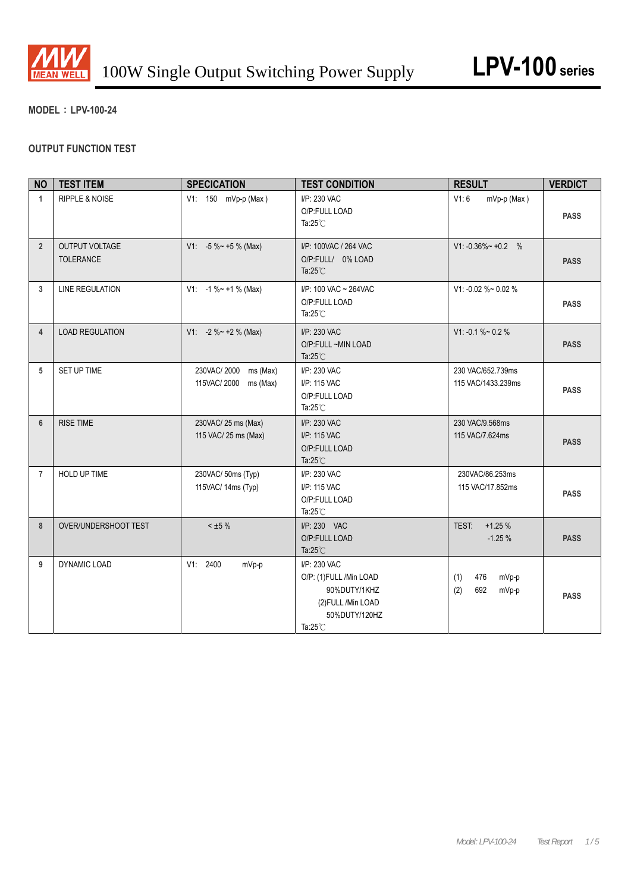

## **MODEL**:**LPV-100-24**

# **OUTPUT FUNCTION TEST**

| <b>NO</b>      | <b>TEST ITEM</b>            | <b>SPECICATION</b>                                 | <b>TEST CONDITION</b>                                                                                                | <b>RESULT</b>                              | <b>VERDICT</b> |
|----------------|-----------------------------|----------------------------------------------------|----------------------------------------------------------------------------------------------------------------------|--------------------------------------------|----------------|
| $\mathbf{1}$   | RIPPLE & NOISE              | V1: 150 mVp-p (Max)                                | I/P: 230 VAC<br>O/P:FULL LOAD<br>Ta: $25^{\circ}$ C                                                                  | V1:6<br>mVp-p (Max)                        | <b>PASS</b>    |
| $\overline{2}$ | OUTPUT VOLTAGE<br>TOLERANCE | $V1: -5 \% ~ +5 \% (Max)$                          | I/P: 100VAC / 264 VAC<br>O/P:FULL/ 0% LOAD<br>Ta: $25^{\circ}$ C                                                     | $V1: -0.36\% \sim +0.2$ %                  | <b>PASS</b>    |
| 3              | <b>LINE REGULATION</b>      | $V1: -1 \% ~ +1 \% (Max)$                          | I/P: 100 VAC ~ 264VAC<br>O/P:FULL LOAD<br>Ta: $25^{\circ}$ C                                                         | V1: -0.02 %~ 0.02 %                        | <b>PASS</b>    |
| $\overline{4}$ | <b>LOAD REGULATION</b>      | $V1: -2 \% ~ + 2 \%$ (Max)                         | I/P: 230 VAC<br>O/P:FULL~MIN LOAD<br>Ta: $25^{\circ}$ C                                                              | $V1: -0.1 \% \sim 0.2 \%$                  | <b>PASS</b>    |
| 5              | SET UP TIME                 | 230VAC/2000<br>ms (Max)<br>115VAC/2000<br>ms (Max) | I/P: 230 VAC<br>I/P: 115 VAC<br>O/P:FULL LOAD<br>Ta: $25^{\circ}$ C                                                  | 230 VAC/652.739ms<br>115 VAC/1433.239ms    | <b>PASS</b>    |
| $6\phantom{1}$ | <b>RISE TIME</b>            | 230VAC/ 25 ms (Max)<br>115 VAC/ 25 ms (Max)        | I/P: 230 VAC<br>I/P: 115 VAC<br>O/P:FULL LOAD<br>Ta: $25^{\circ}$ C                                                  | 230 VAC/9.568ms<br>115 VAC/7.624ms         | <b>PASS</b>    |
| $\overline{7}$ | HOLD UP TIME                | 230VAC/50ms (Typ)<br>115VAC/ 14ms (Typ)            | I/P: 230 VAC<br>I/P: 115 VAC<br>O/P:FULL LOAD<br>Ta: $25^{\circ}$ C                                                  | 230VAC/86.253ms<br>115 VAC/17.852ms        | <b>PASS</b>    |
| 8              | OVER/UNDERSHOOT TEST        | $< \pm 5 \%$                                       | I/P: 230 VAC<br>O/P:FULL LOAD<br>Ta: $25^{\circ}$ C                                                                  | $+1.25%$<br>TEST:<br>$-1.25%$              | <b>PASS</b>    |
| 9              | DYNAMIC LOAD                | V1: 2400<br>mVp-p                                  | I/P: 230 VAC<br>O/P: (1)FULL /Min LOAD<br>90%DUTY/1KHZ<br>(2) FULL / Min LOAD<br>50%DUTY/120HZ<br>Ta: $25^{\circ}$ C | (1)<br>476<br>mVp-p<br>(2)<br>692<br>mVp-p | <b>PASS</b>    |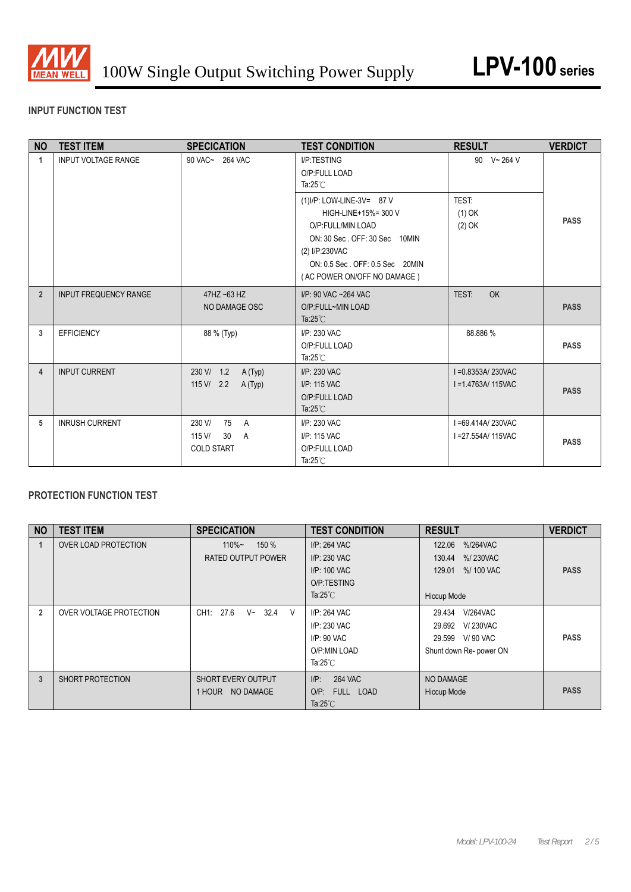

# **INPUT FUNCTION TEST**

| <b>NO</b>      | <b>TEST ITEM</b>           | <b>SPECICATION</b>                                       | <b>TEST CONDITION</b>                                                                                                                                                                        | <b>RESULT</b>                           | <b>VERDICT</b> |
|----------------|----------------------------|----------------------------------------------------------|----------------------------------------------------------------------------------------------------------------------------------------------------------------------------------------------|-----------------------------------------|----------------|
| $\mathbf 1$    | <b>INPUT VOLTAGE RANGE</b> | 90 VAC~ 264 VAC                                          | I/P:TESTING<br>O/P:FULL LOAD<br>Ta: $25^{\circ}$ C                                                                                                                                           | 90 $V - 264 V$                          |                |
|                |                            |                                                          | (1) I/P: LOW-LINE-3V= 87 V<br>HIGH-LINE+15%= 300 V<br>O/P:FULL/MIN LOAD<br>ON: 30 Sec. OFF: 30 Sec 10MIN<br>(2) I/P:230VAC<br>ON: 0.5 Sec. OFF: 0.5 Sec 20MIN<br>(AC POWER ON/OFF NO DAMAGE) | <b>TEST:</b><br>$(1)$ OK<br>(2) OK      | <b>PASS</b>    |
| $\overline{2}$ | INPUT FREQUENCY RANGE      | 47HZ ~63 HZ<br>NO DAMAGE OSC                             | I/P: 90 VAC ~264 VAC<br>O/P:FULL~MIN LOAD<br>Ta: $25^{\circ}$ C                                                                                                                              | TEST:<br>OK                             | <b>PASS</b>    |
| 3              | <b>EFFICIENCY</b>          | 88 % (Typ)                                               | I/P: 230 VAC<br>O/P:FULL LOAD<br>Ta: $25^{\circ}$ C                                                                                                                                          | 88.886 %                                | <b>PASS</b>    |
| 4              | <b>INPUT CURRENT</b>       | 230 V/ 1.2<br>A (Typ)<br>$115 \text{ V} / 2.2$<br>A(Typ) | I/P: 230 VAC<br>I/P: 115 VAC<br>O/P:FULL LOAD<br>Ta: $25^{\circ}$ C                                                                                                                          | I=0.8353A/230VAC<br>I = 1.4763A/ 115VAC | <b>PASS</b>    |
| 5              | <b>INRUSH CURRENT</b>      | 230 V/<br>75 A<br>115 V/<br>30<br>A<br><b>COLD START</b> | I/P: 230 VAC<br>I/P: 115 VAC<br>O/P:FULL LOAD<br>Ta: $25^{\circ}$ C                                                                                                                          | I=69.414A/230VAC<br>I = 27.554A/ 115VAC | <b>PASS</b>    |

# **PROTECTION FUNCTION TEST**

| <b>NO</b>      | <b>TEST ITEM</b>        | <b>SPECICATION</b>                            | <b>TEST CONDITION</b>     | <b>RESULT</b>             | <b>VERDICT</b> |
|----------------|-------------------------|-----------------------------------------------|---------------------------|---------------------------|----------------|
|                | OVER LOAD PROTECTION    | 150 %<br>$110\%$ ~                            | I/P: 264 VAC              | 122.06<br>%/264VAC        |                |
|                |                         | <b>RATED OUTPUT POWER</b>                     | I/P: 230 VAC              | 130.44<br>%/230VAC        |                |
|                |                         |                                               | I/P: 100 VAC              | %/ 100 VAC<br>129.01      | <b>PASS</b>    |
|                |                         |                                               | O/P:TESTING               |                           |                |
|                |                         |                                               | Ta: $25^{\circ}$ C        | Hiccup Mode               |                |
| $\overline{2}$ | OVER VOLTAGE PROTECTION | 32.4<br>CH1: 27.6<br>$V~\sim$<br><sub>V</sub> | I/P: 264 VAC              | <b>V/264VAC</b><br>29.434 |                |
|                |                         |                                               | I/P: 230 VAC              | <b>V/230VAC</b><br>29.692 |                |
|                |                         |                                               | $I/P$ : 90 VAC            | 29.599 V/90 VAC           | <b>PASS</b>    |
|                |                         |                                               | O/P:MIN LOAD              | Shunt down Re- power ON   |                |
|                |                         |                                               | Ta: $25^{\circ}$ C        |                           |                |
| 3              | SHORT PROTECTION        | SHORT EVERY OUTPUT                            | <b>264 VAC</b><br>$I/P$ : | NO DAMAGE                 |                |
|                |                         | 1 HOUR NO DAMAGE                              | $O/P$ :<br>FULL LOAD      | <b>Hiccup Mode</b>        | <b>PASS</b>    |
|                |                         |                                               | Ta: $25^{\circ}$ C        |                           |                |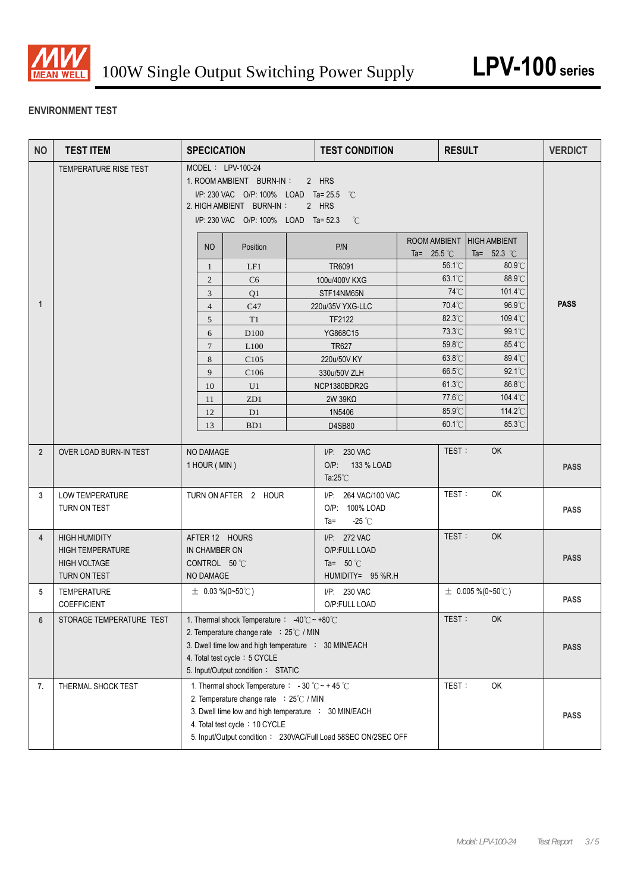

# **ENVIRONMENT TEST**

| <b>NO</b>      | <b>TEST ITEM</b>                                                                       | <b>SPECICATION</b>                                                                                                                                                                                                                                    |                                                                                                                                                                                               |  | <b>TEST CONDITION</b>                                                    |                                      | <b>RESULT</b>                        | <b>VERDICT</b> |  |
|----------------|----------------------------------------------------------------------------------------|-------------------------------------------------------------------------------------------------------------------------------------------------------------------------------------------------------------------------------------------------------|-----------------------------------------------------------------------------------------------------------------------------------------------------------------------------------------------|--|--------------------------------------------------------------------------|--------------------------------------|--------------------------------------|----------------|--|
|                | TEMPERATURE RISE TEST                                                                  |                                                                                                                                                                                                                                                       | MODEL: LPV-100-24<br>1. ROOM AMBIENT BURN-IN:<br>2 HRS<br>I/P: 230 VAC O/P: 100% LOAD Ta= 25.5 °C<br>2. HIGH AMBIENT BURN-IN:<br>2 HRS<br>I/P: 230 VAC O/P: 100% LOAD Ta= 52.3<br>$^{\circ}C$ |  |                                                                          |                                      |                                      |                |  |
|                |                                                                                        | NO                                                                                                                                                                                                                                                    | Position                                                                                                                                                                                      |  | P/N                                                                      | ROOM AMBIENT<br>Ta= $25.5^{\circ}$ C | <b>HIGH AMBIENT</b><br>Ta= $52.3$ °C |                |  |
|                |                                                                                        | 1                                                                                                                                                                                                                                                     | LF1                                                                                                                                                                                           |  | TR6091                                                                   | 56.1°C                               | 80.9°C                               |                |  |
|                |                                                                                        | 2                                                                                                                                                                                                                                                     | C <sub>6</sub>                                                                                                                                                                                |  | 100u/400V KXG                                                            | 63.1°C                               | 88.9°C                               |                |  |
|                |                                                                                        | 3                                                                                                                                                                                                                                                     | Q1                                                                                                                                                                                            |  | STF14NM65N                                                               | 74°C                                 | 101.4°C                              |                |  |
| $\mathbf{1}$   |                                                                                        | $\overline{4}$                                                                                                                                                                                                                                        | C47                                                                                                                                                                                           |  | 220u/35V YXG-LLC                                                         | 70.4°C                               | 96.9°C                               | <b>PASS</b>    |  |
|                |                                                                                        | 5                                                                                                                                                                                                                                                     | T <sub>1</sub>                                                                                                                                                                                |  | TF2122                                                                   | 82.3°C                               | 109.4°C                              |                |  |
|                |                                                                                        | 6                                                                                                                                                                                                                                                     | D <sub>100</sub>                                                                                                                                                                              |  | YG868C15                                                                 | 73.3°C                               | $99.1^{\circ}$ C                     |                |  |
|                |                                                                                        | $\overline{7}$                                                                                                                                                                                                                                        | L <sub>100</sub>                                                                                                                                                                              |  | <b>TR627</b>                                                             | 59.8°C                               | 85.4°C                               |                |  |
|                |                                                                                        | 8                                                                                                                                                                                                                                                     | C105                                                                                                                                                                                          |  | 220u/50V KY                                                              | 63.8°C                               | 89.4°C                               |                |  |
|                |                                                                                        | 9                                                                                                                                                                                                                                                     | C106                                                                                                                                                                                          |  | 330u/50V ZLH                                                             | 66.5°C<br>$61.3^{\circ}$ C           | 92.1°C<br>86.8°C                     |                |  |
|                |                                                                                        | 10<br>11                                                                                                                                                                                                                                              | U1<br>ZD1                                                                                                                                                                                     |  | NCP1380BDR2G<br>$2W$ 39K $\Omega$                                        | 77.6°C                               | 104.4°C                              |                |  |
|                |                                                                                        | 12                                                                                                                                                                                                                                                    | D1                                                                                                                                                                                            |  | 1N5406                                                                   | 85.9°C                               | 114.2°C                              |                |  |
|                |                                                                                        | 13                                                                                                                                                                                                                                                    | B <sub>D</sub> 1                                                                                                                                                                              |  | D4SB80                                                                   | 60.1°C                               | 85.3°C                               |                |  |
|                |                                                                                        |                                                                                                                                                                                                                                                       |                                                                                                                                                                                               |  |                                                                          |                                      |                                      |                |  |
| $\overline{2}$ | OVER LOAD BURN-IN TEST                                                                 | NO DAMAGE<br>1 HOUR (MIN)                                                                                                                                                                                                                             |                                                                                                                                                                                               |  | I/P: 230 VAC<br>O/P: 133 % LOAD<br>Ta: $25^{\circ}$ C                    | TEST:                                | <b>OK</b>                            | <b>PASS</b>    |  |
| 3              | <b>LOW TEMPERATURE</b><br>TURN ON TEST                                                 |                                                                                                                                                                                                                                                       | TURN ON AFTER 2 HOUR                                                                                                                                                                          |  | I/P: 264 VAC/100 VAC<br>O/P: 100% LOAD<br>-25 $^{\circ}$ C<br>Ta=        | TEST:                                | OK                                   | <b>PASS</b>    |  |
| $\overline{4}$ | <b>HIGH HUMIDITY</b><br><b>HIGH TEMPERATURE</b><br><b>HIGH VOLTAGE</b><br>TURN ON TEST | AFTER 12 HOURS<br>IN CHAMBER ON<br>CONTROL 50 °C<br>NO DAMAGE                                                                                                                                                                                         |                                                                                                                                                                                               |  | I/P: 272 VAC<br>O/P:FULL LOAD<br>Ta= $50^{\circ}$ C<br>HUMIDITY= 95 %R.H | TEST:                                | <b>OK</b>                            | <b>PASS</b>    |  |
| 5              | <b>TEMPERATURE</b><br><b>COEFFICIENT</b>                                               | $\pm$ 0.03 %(0~50°C)                                                                                                                                                                                                                                  |                                                                                                                                                                                               |  | I/P: 230 VAC<br>O/P:FULL LOAD                                            |                                      | $\pm$ 0.005 %(0~50°C)                | <b>PASS</b>    |  |
| 6              | STORAGE TEMPERATURE TEST                                                               | 1. Thermal shock Temperature : -40°C ~ +80°C<br>2. Temperature change rate : 25°C / MIN<br>3. Dwell time low and high temperature : 30 MIN/EACH<br>4. Total test cycle: 5 CYCLE<br>5. Input/Output condition: STATIC                                  |                                                                                                                                                                                               |  | TEST:                                                                    | OK                                   | <b>PASS</b>                          |                |  |
| 7.             | THERMAL SHOCK TEST                                                                     | 1. Thermal shock Temperature : - 30 °C ~ + 45 °C<br>2. Temperature change rate : 25°C / MIN<br>3. Dwell time low and high temperature : 30 MIN/EACH<br>4. Total test cycle: 10 CYCLE<br>5. Input/Output condition: 230VAC/Full Load 58SEC ON/2SEC OFF |                                                                                                                                                                                               |  | TEST:                                                                    | OK                                   | <b>PASS</b>                          |                |  |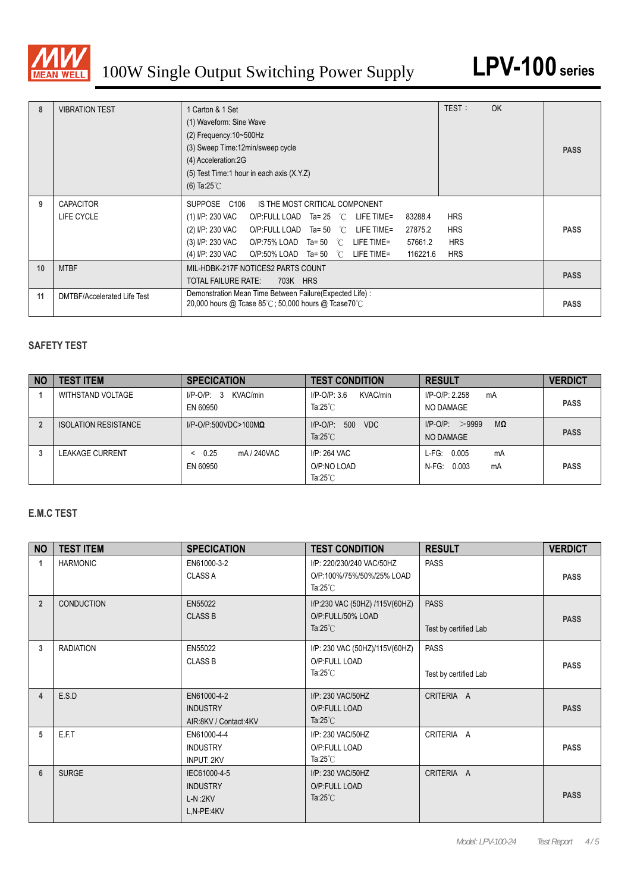

| 8  | <b>VIBRATION TEST</b>          | 1 Carton & 1 Set<br>(1) Waveform: Sine Wave<br>$(2)$ Frequency: $10\neg 500$ Hz<br>(3) Sweep Time:12min/sweep cycle<br>(4) Acceleration:2G<br>(5) Test Time: 1 hour in each axis (X.Y.Z)<br>(6) Ta:25 $°C$                                                                                                                                      | TEST:                                                | OK | <b>PASS</b> |
|----|--------------------------------|-------------------------------------------------------------------------------------------------------------------------------------------------------------------------------------------------------------------------------------------------------------------------------------------------------------------------------------------------|------------------------------------------------------|----|-------------|
| 9  | <b>CAPACITOR</b><br>LIFE CYCLE | SUPPOSE C106<br>IS THE MOST CRITICAL COMPONENT<br>(1) I/P: 230 VAC<br>83288.4<br>O/P:FULL LOAD Ta= 25 °C LIFE TIME=<br>(2) I/P: 230 VAC<br>27875.2<br>O/P:FULL LOAD Ta= 50 $^{\circ}$ C LIFE TIME=<br>(3) I/P: 230 VAC O/P:75% LOAD Ta= 50 $^{\circ}$ C LIFE TIME=<br>57661.2<br>(4) I/P: 230 VAC O/P:50% LOAD Ta= 50 °C LIFE TIME=<br>116221.6 | <b>HRS</b><br><b>HRS</b><br><b>HRS</b><br><b>HRS</b> |    | <b>PASS</b> |
| 10 | <b>MTBF</b>                    | MIL-HDBK-217F NOTICES2 PARTS COUNT<br><b>TOTAL FAILURE RATE:</b><br>703K HRS                                                                                                                                                                                                                                                                    |                                                      |    | <b>PASS</b> |
| 11 | DMTBF/Accelerated Life Test    | Demonstration Mean Time Between Failure (Expected Life) :<br>20,000 hours @ Tcase $85^{\circ}$ C; 50,000 hours @ Tcase70 $^{\circ}$ C                                                                                                                                                                                                           |                                                      |    | <b>PASS</b> |

#### **SAFETY TEST**

| <b>NO</b> | <b>TEST ITEM</b>            | <b>SPECICATION</b>                   | <b>TEST CONDITION</b>                             | <b>RESULT</b>                                | <b>VERDICT</b> |
|-----------|-----------------------------|--------------------------------------|---------------------------------------------------|----------------------------------------------|----------------|
|           | WITHSTAND VOLTAGE           | KVAC/min<br>$I/P-O/P: 3$<br>EN 60950 | KVAC/min<br>$I/P$ -O/P: 3.6<br>Ta: $25^\circ$ C   | I/P-O/P: 2.258<br>mA<br>NO DAMAGE            | <b>PASS</b>    |
|           | <b>ISOLATION RESISTANCE</b> | $I/P$ -O/P:500VDC>100M $\Omega$      | 500<br>$I/P-O/P$ :<br>VDC<br>Ta: $25^{\circ}$ C   | $I/P$ -O/P: $>9999$<br>MΩ<br>NO DAMAGE       | <b>PASS</b>    |
|           | <b>LEAKAGE CURRENT</b>      | 0.25<br>mA / 240VAC<br>EN 60950      | I/P: 264 VAC<br>O/P:NO LOAD<br>Ta: $25^{\circ}$ C | 0.005<br>L-FG:<br>mA<br>0.003<br>N-FG:<br>mA | <b>PASS</b>    |

#### **E.M.C TEST**

| <b>NO</b>      | <b>TEST ITEM</b>  | <b>SPECICATION</b>                                         | <b>TEST CONDITION</b>                                                        | <b>RESULT</b>                        | <b>VERDICT</b> |
|----------------|-------------------|------------------------------------------------------------|------------------------------------------------------------------------------|--------------------------------------|----------------|
| 1              | <b>HARMONIC</b>   | EN61000-3-2<br><b>CLASS A</b>                              | I/P: 220/230/240 VAC/50HZ<br>O/P:100%/75%/50%/25% LOAD<br>Ta: $25^{\circ}$ C | <b>PASS</b>                          | <b>PASS</b>    |
| $\overline{2}$ | <b>CONDUCTION</b> | EN55022<br><b>CLASS B</b>                                  | I/P:230 VAC (50HZ) /115V(60HZ)<br>O/P:FULL/50% LOAD<br>Ta: $25^{\circ}$ C    | <b>PASS</b><br>Test by certified Lab | <b>PASS</b>    |
| 3              | <b>RADIATION</b>  | EN55022<br><b>CLASS B</b>                                  | I/P: 230 VAC (50HZ)/115V(60HZ)<br>O/P:FULL LOAD<br>Ta: $25^{\circ}$ C        | <b>PASS</b><br>Test by certified Lab | <b>PASS</b>    |
| 4              | E.S.D             | EN61000-4-2<br><b>INDUSTRY</b><br>AIR:8KV / Contact:4KV    | I/P: 230 VAC/50HZ<br>O/P:FULL LOAD<br>Ta: $25^{\circ}$ C                     | CRITERIA A                           | <b>PASS</b>    |
| 5              | E.F.T             | EN61000-4-4<br><b>INDUSTRY</b><br><b>INPUT: 2KV</b>        | I/P: 230 VAC/50HZ<br>O/P:FULL LOAD<br>Ta: $25^{\circ}$ C                     | CRITERIA A                           | <b>PASS</b>    |
| 6              | <b>SURGE</b>      | IEC61000-4-5<br><b>INDUSTRY</b><br>$L-N:2KV$<br>L,N-PE:4KV | I/P: 230 VAC/50HZ<br>O/P:FULL LOAD<br>Ta: $25^{\circ}$ C                     | CRITERIA A                           | <b>PASS</b>    |